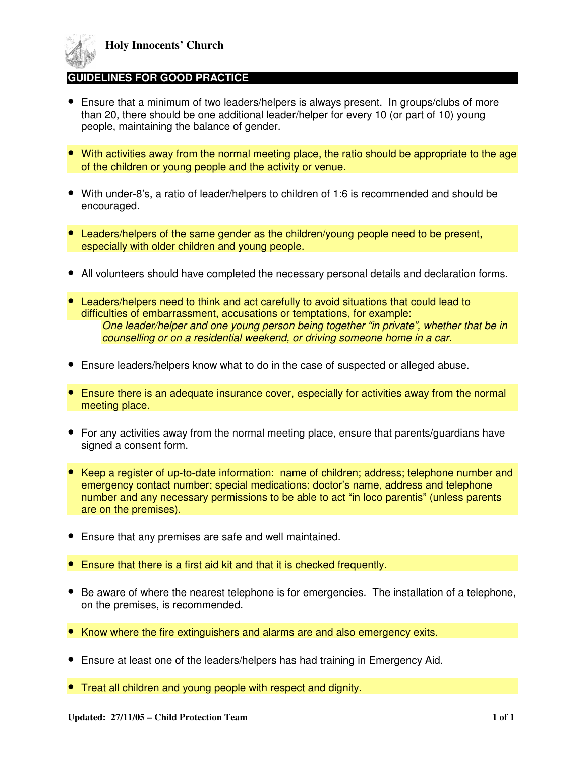

## **DELINES FOR GOOD PRACTICE**

- Ensure that a minimum of two leaders/helpers is always present. In groups/clubs of more than 20, there should be one additional leader/helper for every 10 (or part of 10) young people, maintaining the balance of gender.
- With activities away from the normal meeting place, the ratio should be appropriate to the age of the children or young people and the activity or venue.
- With under-8's, a ratio of leader/helpers to children of 1:6 is recommended and should be encouraged.
- Leaders/helpers of the same gender as the children/young people need to be present, especially with older children and young people.
- All volunteers should have completed the necessary personal details and declaration forms.
- Leaders/helpers need to think and act carefully to avoid situations that could lead to difficulties of embarrassment, accusations or temptations, for example: One leader/helper and one young person being together "in private", whether that be in counselling or on a residential weekend, or driving someone home in a car.
- Ensure leaders/helpers know what to do in the case of suspected or alleged abuse.
- Ensure there is an adequate insurance cover, especially for activities away from the normal meeting place.
- For any activities away from the normal meeting place, ensure that parents/guardians have signed a consent form.
- Keep a register of up-to-date information: name of children; address; telephone number and emergency contact number; special medications; doctor's name, address and telephone number and any necessary permissions to be able to act "in loco parentis" (unless parents are on the premises).
- Ensure that any premises are safe and well maintained.
- Ensure that there is a first aid kit and that it is checked frequently.
- Be aware of where the nearest telephone is for emergencies. The installation of a telephone, on the premises, is recommended.
- Know where the fire extinguishers and alarms are and also emergency exits.
- Ensure at least one of the leaders/helpers has had training in Emergency Aid.
- Treat all children and young people with respect and dignity.